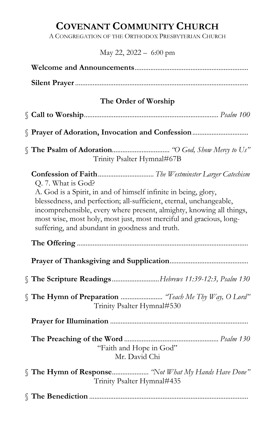# COVENANT COMMUNITY CHURCH

A CONGREGATION OF THE ORTHODOX PRESBYTERIAN CHURCH

# May 22, 2022 – 6:00 pm

| The Order of Worship                                                                                                                                                                                                                                                                                                                                         |
|--------------------------------------------------------------------------------------------------------------------------------------------------------------------------------------------------------------------------------------------------------------------------------------------------------------------------------------------------------------|
|                                                                                                                                                                                                                                                                                                                                                              |
| Prayer of Adoration, Invocation and Confession                                                                                                                                                                                                                                                                                                               |
| Trinity Psalter Hymnal#67B                                                                                                                                                                                                                                                                                                                                   |
| Q. 7. What is God?<br>A. God is a Spirit, in and of himself infinite in being, glory,<br>blessedness, and perfection; all-sufficient, eternal, unchangeable,<br>incomprehensible, every where present, almighty, knowing all things,<br>most wise, most holy, most just, most merciful and gracious, long-<br>suffering, and abundant in goodness and truth. |
|                                                                                                                                                                                                                                                                                                                                                              |
| The Scripture ReadingsHebrews 11:39-12:3, Psalm 130                                                                                                                                                                                                                                                                                                          |
| Trinity Psalter Hymnal#530                                                                                                                                                                                                                                                                                                                                   |
|                                                                                                                                                                                                                                                                                                                                                              |
| "Faith and Hope in God"<br>Mr. David Chi                                                                                                                                                                                                                                                                                                                     |
| The Hymn of Response "Not What My Hands Have Done"<br>Trinity Psalter Hymnal#435                                                                                                                                                                                                                                                                             |
|                                                                                                                                                                                                                                                                                                                                                              |